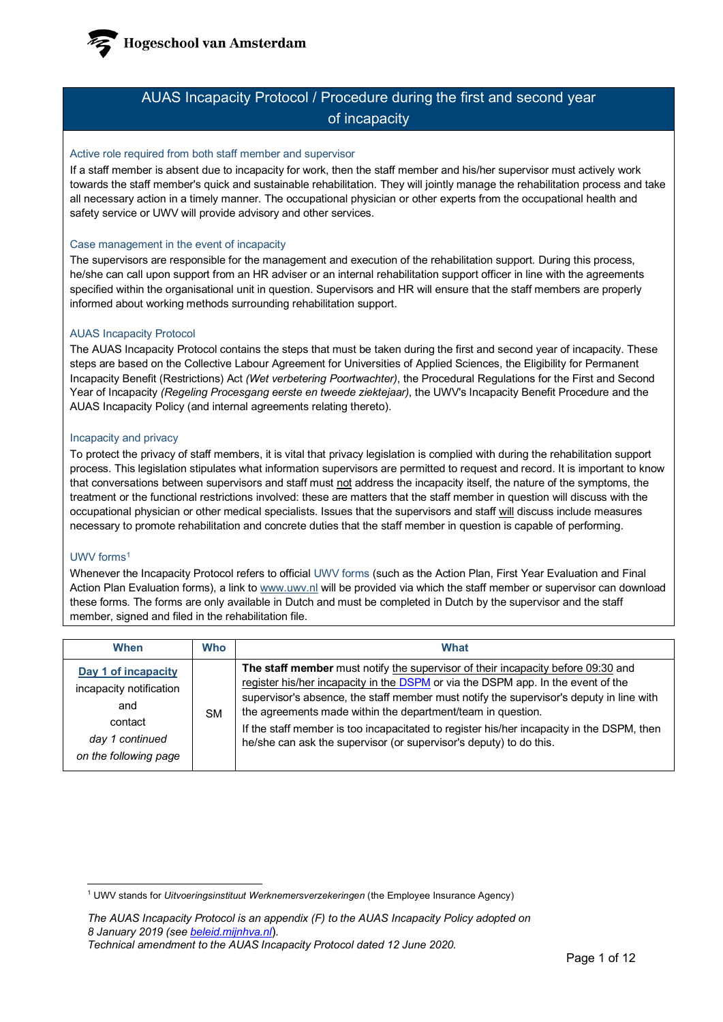**Hogeschool van Amsterdam** 

# AUAS Incapacity Protocol / Procedure during the first and second year of incapacity

#### Active role required from both staff member and supervisor

If a staff member is absent due to incapacity for work, then the staff member and his/her supervisor must actively work towards the staff member's quick and sustainable rehabilitation. They will jointly manage the rehabilitation process and take all necessary action in a timely manner. The occupational physician or other experts from the occupational health and safety service or UWV will provide advisory and other services.

# Case management in the event of incapacity

The supervisors are responsible for the management and execution of the rehabilitation support. During this process, he/she can call upon support from an HR adviser or an internal rehabilitation support officer in line with the agreements specified within the organisational unit in question. Supervisors and HR will ensure that the staff members are properly informed about working methods surrounding rehabilitation support.

# AUAS Incapacity Protocol

The AUAS Incapacity Protocol contains the steps that must be taken during the first and second year of incapacity. These steps are based on the Collective Labour Agreement for Universities of Applied Sciences, the Eligibility for Permanent Incapacity Benefit (Restrictions) Act *(Wet verbetering Poortwachter)*, the Procedural Regulations for the First and Second Year of Incapacity *(Regeling Procesgang eerste en tweede ziektejaar)*, the UWV's Incapacity Benefit Procedure and the AUAS Incapacity Policy (and internal agreements relating thereto).

# Incapacity and privacy

To protect the privacy of staff members, it is vital that privacy legislation is complied with during the rehabilitation support process. This legislation stipulates what information supervisors are permitted to request and record. It is important to know that conversations between supervisors and staff must not address the incapacity itself, the nature of the symptoms, the treatment or the functional restrictions involved: these are matters that the staff member in question will discuss with the occupational physician or other medical specialists. Issues that the supervisors and staff will discuss include measures necessary to promote rehabilitation and concrete duties that the staff member in question is capable of performing.

# UWV forms<sup>[1](#page-0-0)</sup>

Whenever the Incapacity Protocol refers to official UWV forms (such as the Action Plan, First Year Evaluation and Final Action Plan Evaluation forms), a link to [www.uwv.nl](http://www.uwv.nl/) will be provided via which the staff member or supervisor can download these forms. The forms are only available in Dutch and must be completed in Dutch by the supervisor and the staff member, signed and filed in the rehabilitation file.

| When                                                                                                         | <b>Who</b> | What                                                                                                                                                                                                                                                                                                                                                                                                                                                                                              |
|--------------------------------------------------------------------------------------------------------------|------------|---------------------------------------------------------------------------------------------------------------------------------------------------------------------------------------------------------------------------------------------------------------------------------------------------------------------------------------------------------------------------------------------------------------------------------------------------------------------------------------------------|
| Day 1 of incapacity<br>incapacity notification<br>and<br>contact<br>day 1 continued<br>on the following page | SΜ         | The staff member must notify the supervisor of their incapacity before 09:30 and<br>register his/her incapacity in the DSPM or via the DSPM app. In the event of the<br>supervisor's absence, the staff member must notify the supervisor's deputy in line with<br>the agreements made within the department/team in question.<br>If the staff member is too incapacitated to register his/her incapacity in the DSPM, then<br>he/she can ask the supervisor (or supervisor's deputy) to do this. |

<span id="page-0-0"></span><sup>1</sup> UWV stands for *Uitvoeringsinstituut Werknemersverzekeringen* (the Employee Insurance Agency)

*The AUAS Incapacity Protocol is an appendix (F) to the AUAS Incapacity Policy adopted on 8 January 2019 (se[e beleid.mijnhva.nl](https://beleid.mijnhva.nl/)*)*.* 

*Technical amendment to the AUAS Incapacity Protocol dated 12 June 2020.*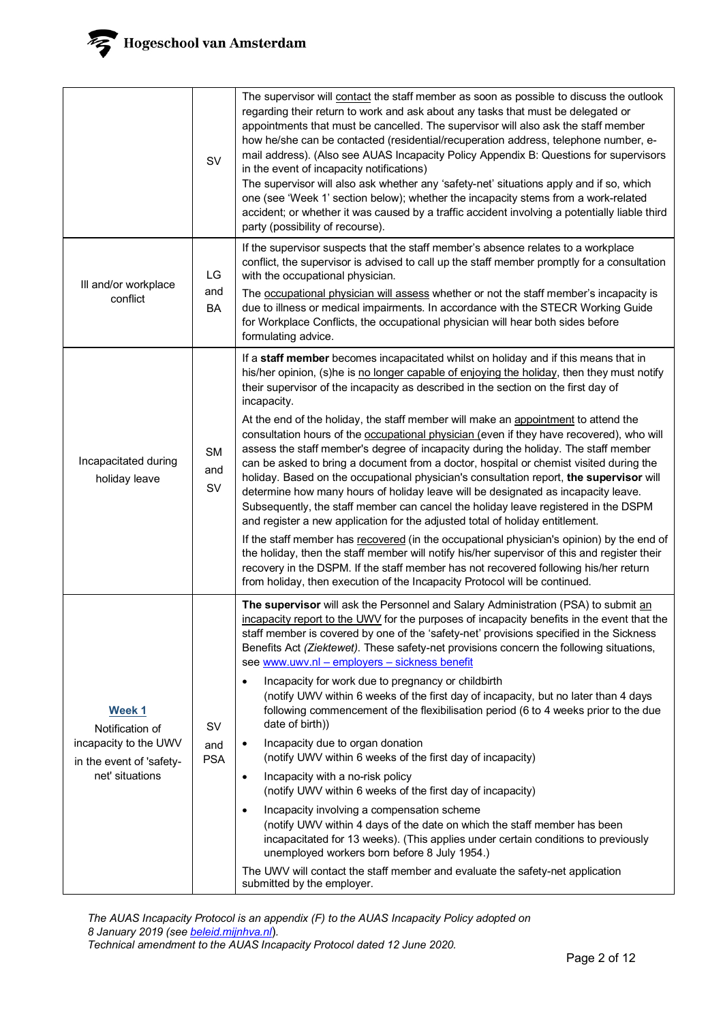|                                                                                                   | SV                      | The supervisor will contact the staff member as soon as possible to discuss the outlook<br>regarding their return to work and ask about any tasks that must be delegated or<br>appointments that must be cancelled. The supervisor will also ask the staff member<br>how he/she can be contacted (residential/recuperation address, telephone number, e-<br>mail address). (Also see AUAS Incapacity Policy Appendix B: Questions for supervisors<br>in the event of incapacity notifications)<br>The supervisor will also ask whether any 'safety-net' situations apply and if so, which<br>one (see 'Week 1' section below); whether the incapacity stems from a work-related<br>accident; or whether it was caused by a traffic accident involving a potentially liable third<br>party (possibility of recourse).                                                                                                                                                                                                                                                                                                                                                                                                                                                                                                                                                                |
|---------------------------------------------------------------------------------------------------|-------------------------|-------------------------------------------------------------------------------------------------------------------------------------------------------------------------------------------------------------------------------------------------------------------------------------------------------------------------------------------------------------------------------------------------------------------------------------------------------------------------------------------------------------------------------------------------------------------------------------------------------------------------------------------------------------------------------------------------------------------------------------------------------------------------------------------------------------------------------------------------------------------------------------------------------------------------------------------------------------------------------------------------------------------------------------------------------------------------------------------------------------------------------------------------------------------------------------------------------------------------------------------------------------------------------------------------------------------------------------------------------------------------------------|
| Ill and/or workplace<br>conflict                                                                  | LG<br>and<br>BA         | If the supervisor suspects that the staff member's absence relates to a workplace<br>conflict, the supervisor is advised to call up the staff member promptly for a consultation<br>with the occupational physician.<br>The occupational physician will assess whether or not the staff member's incapacity is<br>due to illness or medical impairments. In accordance with the STECR Working Guide<br>for Workplace Conflicts, the occupational physician will hear both sides before<br>formulating advice.                                                                                                                                                                                                                                                                                                                                                                                                                                                                                                                                                                                                                                                                                                                                                                                                                                                                       |
| Incapacitated during<br>holiday leave                                                             | <b>SM</b><br>and<br>SV  | If a staff member becomes incapacitated whilst on holiday and if this means that in<br>his/her opinion, (s)he is no longer capable of enjoying the holiday, then they must notify<br>their supervisor of the incapacity as described in the section on the first day of<br>incapacity.<br>At the end of the holiday, the staff member will make an appointment to attend the<br>consultation hours of the occupational physician (even if they have recovered), who will<br>assess the staff member's degree of incapacity during the holiday. The staff member<br>can be asked to bring a document from a doctor, hospital or chemist visited during the<br>holiday. Based on the occupational physician's consultation report, the supervisor will<br>determine how many hours of holiday leave will be designated as incapacity leave.<br>Subsequently, the staff member can cancel the holiday leave registered in the DSPM<br>and register a new application for the adjusted total of holiday entitlement.<br>If the staff member has recovered (in the occupational physician's opinion) by the end of<br>the holiday, then the staff member will notify his/her supervisor of this and register their<br>recovery in the DSPM. If the staff member has not recovered following his/her return<br>from holiday, then execution of the Incapacity Protocol will be continued. |
| Week 1<br>Notification of<br>incapacity to the UWV<br>in the event of 'safety-<br>net' situations | SV<br>and<br><b>PSA</b> | The supervisor will ask the Personnel and Salary Administration (PSA) to submit an<br>incapacity report to the UWV for the purposes of incapacity benefits in the event that the<br>staff member is covered by one of the 'safety-net' provisions specified in the Sickness<br>Benefits Act (Ziektewet). These safety-net provisions concern the following situations,<br>see www.uwv.nl - employers - sickness benefit<br>Incapacity for work due to pregnancy or childbirth<br>٠<br>(notify UWV within 6 weeks of the first day of incapacity, but no later than 4 days<br>following commencement of the flexibilisation period (6 to 4 weeks prior to the due<br>date of birth))<br>Incapacity due to organ donation<br>$\bullet$<br>(notify UWV within 6 weeks of the first day of incapacity)<br>Incapacity with a no-risk policy<br>$\bullet$<br>(notify UWV within 6 weeks of the first day of incapacity)<br>Incapacity involving a compensation scheme<br>$\bullet$<br>(notify UWV within 4 days of the date on which the staff member has been<br>incapacitated for 13 weeks). (This applies under certain conditions to previously<br>unemployed workers born before 8 July 1954.)<br>The UWV will contact the staff member and evaluate the safety-net application<br>submitted by the employer.                                                                        |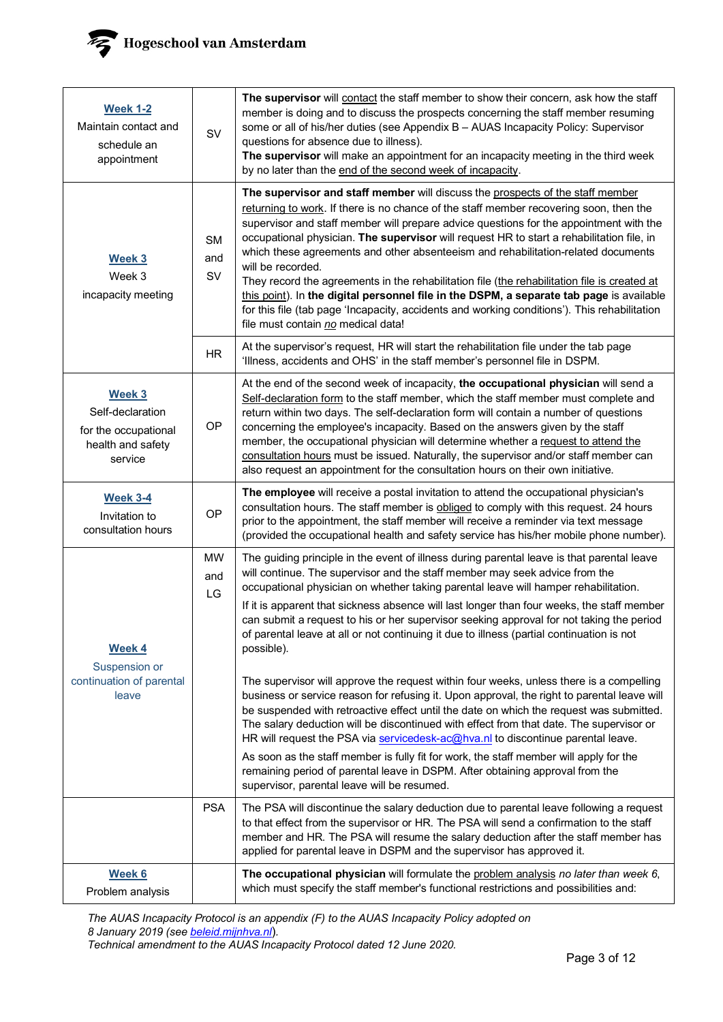

| <b>Week 1-2</b><br>Maintain contact and<br>schedule an<br>appointment              | <b>SV</b>              | The supervisor will contact the staff member to show their concern, ask how the staff<br>member is doing and to discuss the prospects concerning the staff member resuming<br>some or all of his/her duties (see Appendix B - AUAS Incapacity Policy: Supervisor<br>questions for absence due to illness).<br>The supervisor will make an appointment for an incapacity meeting in the third week<br>by no later than the end of the second week of incapacity.                                                                                                                                                                                                                                                                                                                                             |
|------------------------------------------------------------------------------------|------------------------|-------------------------------------------------------------------------------------------------------------------------------------------------------------------------------------------------------------------------------------------------------------------------------------------------------------------------------------------------------------------------------------------------------------------------------------------------------------------------------------------------------------------------------------------------------------------------------------------------------------------------------------------------------------------------------------------------------------------------------------------------------------------------------------------------------------|
| Week 3<br>Week 3<br>incapacity meeting                                             | <b>SM</b><br>and<br>SV | The supervisor and staff member will discuss the prospects of the staff member<br>returning to work. If there is no chance of the staff member recovering soon, then the<br>supervisor and staff member will prepare advice questions for the appointment with the<br>occupational physician. The supervisor will request HR to start a rehabilitation file, in<br>which these agreements and other absenteeism and rehabilitation-related documents<br>will be recorded.<br>They record the agreements in the rehabilitation file (the rehabilitation file is created at<br>this point). In the digital personnel file in the DSPM, a separate tab page is available<br>for this file (tab page 'Incapacity, accidents and working conditions'). This rehabilitation<br>file must contain no medical data! |
|                                                                                    | <b>HR</b>              | At the supervisor's request, HR will start the rehabilitation file under the tab page<br>'Illness, accidents and OHS' in the staff member's personnel file in DSPM.                                                                                                                                                                                                                                                                                                                                                                                                                                                                                                                                                                                                                                         |
| Week 3<br>Self-declaration<br>for the occupational<br>health and safety<br>service | OP                     | At the end of the second week of incapacity, the occupational physician will send a<br>Self-declaration form to the staff member, which the staff member must complete and<br>return within two days. The self-declaration form will contain a number of questions<br>concerning the employee's incapacity. Based on the answers given by the staff<br>member, the occupational physician will determine whether a request to attend the<br>consultation hours must be issued. Naturally, the supervisor and/or staff member can<br>also request an appointment for the consultation hours on their own initiative.                                                                                                                                                                                         |
| <b>Week 3-4</b><br>Invitation to<br>consultation hours                             | OP                     | The employee will receive a postal invitation to attend the occupational physician's<br>consultation hours. The staff member is obliged to comply with this request. 24 hours<br>prior to the appointment, the staff member will receive a reminder via text message<br>(provided the occupational health and safety service has his/her mobile phone number).                                                                                                                                                                                                                                                                                                                                                                                                                                              |
| <b>Week 4</b><br>Suspension or                                                     | <b>MW</b><br>and<br>LG | The guiding principle in the event of illness during parental leave is that parental leave<br>will continue. The supervisor and the staff member may seek advice from the<br>occupational physician on whether taking parental leave will hamper rehabilitation.<br>If it is apparent that sickness absence will last longer than four weeks, the staff member<br>can submit a request to his or her supervisor seeking approval for not taking the period<br>of parental leave at all or not continuing it due to illness (partial continuation is not<br>possible).                                                                                                                                                                                                                                       |
| continuation of parental<br>leave                                                  |                        | The supervisor will approve the request within four weeks, unless there is a compelling<br>business or service reason for refusing it. Upon approval, the right to parental leave will<br>be suspended with retroactive effect until the date on which the request was submitted.<br>The salary deduction will be discontinued with effect from that date. The supervisor or<br>HR will request the PSA via servicedesk-ac@hva.nl to discontinue parental leave.<br>As soon as the staff member is fully fit for work, the staff member will apply for the<br>remaining period of parental leave in DSPM. After obtaining approval from the<br>supervisor, parental leave will be resumed.                                                                                                                  |
|                                                                                    | <b>PSA</b>             | The PSA will discontinue the salary deduction due to parental leave following a request<br>to that effect from the supervisor or HR. The PSA will send a confirmation to the staff<br>member and HR. The PSA will resume the salary deduction after the staff member has<br>applied for parental leave in DSPM and the supervisor has approved it.                                                                                                                                                                                                                                                                                                                                                                                                                                                          |
| Week 6<br>Problem analysis                                                         |                        | The occupational physician will formulate the problem analysis no later than week 6,<br>which must specify the staff member's functional restrictions and possibilities and:                                                                                                                                                                                                                                                                                                                                                                                                                                                                                                                                                                                                                                |

*The AUAS Incapacity Protocol is an appendix (F) to the AUAS Incapacity Policy adopted on 8 January 2019 (se[e beleid.mijnhva.nl](https://beleid.mijnhva.nl/)*)*. Technical amendment to the AUAS Incapacity Protocol dated 12 June 2020.*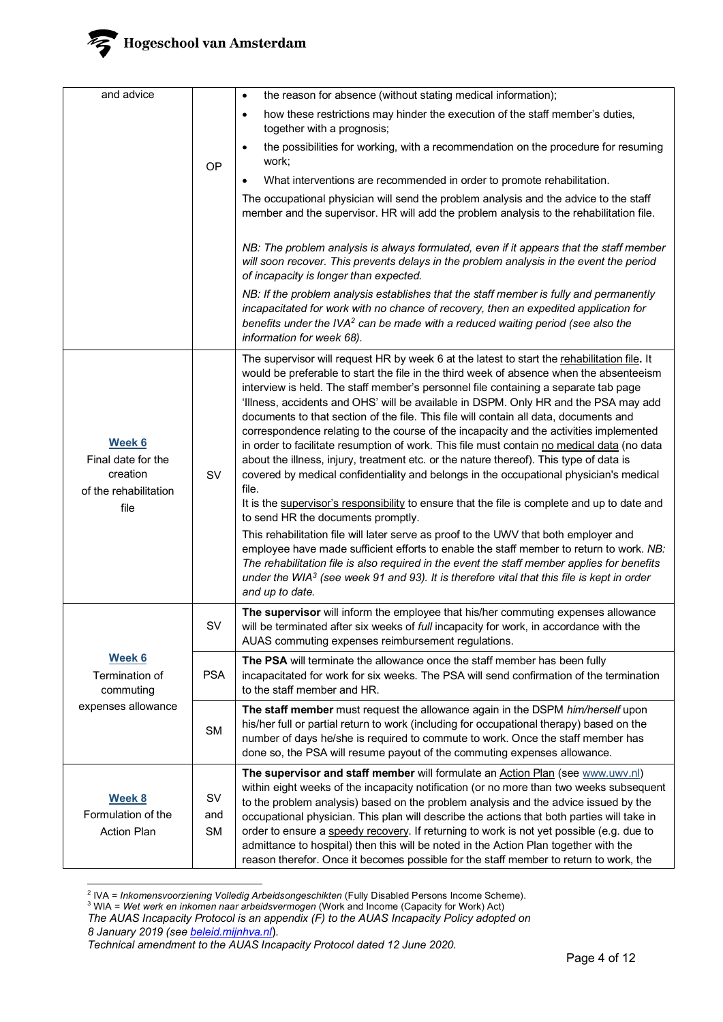# Hogeschool van Amsterdam

| and advice                                                                |                        | the reason for absence (without stating medical information);<br>$\bullet$                                                                                                                                                                                                                                                                                                                                                                                                                                                                                                                                                                                                                                                                                                                                                                                                                                                                                                                                                                                                                                                                                                                                                                                                                                                                                                                              |
|---------------------------------------------------------------------------|------------------------|---------------------------------------------------------------------------------------------------------------------------------------------------------------------------------------------------------------------------------------------------------------------------------------------------------------------------------------------------------------------------------------------------------------------------------------------------------------------------------------------------------------------------------------------------------------------------------------------------------------------------------------------------------------------------------------------------------------------------------------------------------------------------------------------------------------------------------------------------------------------------------------------------------------------------------------------------------------------------------------------------------------------------------------------------------------------------------------------------------------------------------------------------------------------------------------------------------------------------------------------------------------------------------------------------------------------------------------------------------------------------------------------------------|
|                                                                           |                        | how these restrictions may hinder the execution of the staff member's duties,<br>$\bullet$<br>together with a prognosis;                                                                                                                                                                                                                                                                                                                                                                                                                                                                                                                                                                                                                                                                                                                                                                                                                                                                                                                                                                                                                                                                                                                                                                                                                                                                                |
|                                                                           | OP                     | the possibilities for working, with a recommendation on the procedure for resuming<br>$\bullet$<br>work;                                                                                                                                                                                                                                                                                                                                                                                                                                                                                                                                                                                                                                                                                                                                                                                                                                                                                                                                                                                                                                                                                                                                                                                                                                                                                                |
|                                                                           |                        | What interventions are recommended in order to promote rehabilitation.                                                                                                                                                                                                                                                                                                                                                                                                                                                                                                                                                                                                                                                                                                                                                                                                                                                                                                                                                                                                                                                                                                                                                                                                                                                                                                                                  |
|                                                                           |                        | The occupational physician will send the problem analysis and the advice to the staff<br>member and the supervisor. HR will add the problem analysis to the rehabilitation file.                                                                                                                                                                                                                                                                                                                                                                                                                                                                                                                                                                                                                                                                                                                                                                                                                                                                                                                                                                                                                                                                                                                                                                                                                        |
|                                                                           |                        | NB: The problem analysis is always formulated, even if it appears that the staff member<br>will soon recover. This prevents delays in the problem analysis in the event the period<br>of incapacity is longer than expected.                                                                                                                                                                                                                                                                                                                                                                                                                                                                                                                                                                                                                                                                                                                                                                                                                                                                                                                                                                                                                                                                                                                                                                            |
|                                                                           |                        | NB: If the problem analysis establishes that the staff member is fully and permanently<br>incapacitated for work with no chance of recovery, then an expedited application for<br>benefits under the IVA <sup>2</sup> can be made with a reduced waiting period (see also the<br>information for week 68).                                                                                                                                                                                                                                                                                                                                                                                                                                                                                                                                                                                                                                                                                                                                                                                                                                                                                                                                                                                                                                                                                              |
| Week 6<br>Final date for the<br>creation<br>of the rehabilitation<br>file | SV                     | The supervisor will request HR by week 6 at the latest to start the rehabilitation file. It<br>would be preferable to start the file in the third week of absence when the absenteeism<br>interview is held. The staff member's personnel file containing a separate tab page<br>'Illness, accidents and OHS' will be available in DSPM. Only HR and the PSA may add<br>documents to that section of the file. This file will contain all data, documents and<br>correspondence relating to the course of the incapacity and the activities implemented<br>in order to facilitate resumption of work. This file must contain no medical data (no data<br>about the illness, injury, treatment etc. or the nature thereof). This type of data is<br>covered by medical confidentiality and belongs in the occupational physician's medical<br>file.<br>It is the supervisor's responsibility to ensure that the file is complete and up to date and<br>to send HR the documents promptly.<br>This rehabilitation file will later serve as proof to the UWV that both employer and<br>employee have made sufficient efforts to enable the staff member to return to work. NB:<br>The rehabilitation file is also required in the event the staff member applies for benefits<br>under the WIA <sup>3</sup> (see week 91 and 93). It is therefore vital that this file is kept in order<br>and up to date. |
|                                                                           | SV                     | The supervisor will inform the employee that his/her commuting expenses allowance<br>will be terminated after six weeks of full incapacity for work, in accordance with the<br>AUAS commuting expenses reimbursement regulations.                                                                                                                                                                                                                                                                                                                                                                                                                                                                                                                                                                                                                                                                                                                                                                                                                                                                                                                                                                                                                                                                                                                                                                       |
| Week 6<br>Termination of<br>commuting<br>expenses allowance               | <b>PSA</b>             | The PSA will terminate the allowance once the staff member has been fully<br>incapacitated for work for six weeks. The PSA will send confirmation of the termination<br>to the staff member and HR.                                                                                                                                                                                                                                                                                                                                                                                                                                                                                                                                                                                                                                                                                                                                                                                                                                                                                                                                                                                                                                                                                                                                                                                                     |
|                                                                           | <b>SM</b>              | The staff member must request the allowance again in the DSPM him/herself upon<br>his/her full or partial return to work (including for occupational therapy) based on the<br>number of days he/she is required to commute to work. Once the staff member has<br>done so, the PSA will resume payout of the commuting expenses allowance.                                                                                                                                                                                                                                                                                                                                                                                                                                                                                                                                                                                                                                                                                                                                                                                                                                                                                                                                                                                                                                                               |
| Week 8<br>Formulation of the<br><b>Action Plan</b>                        | SV<br>and<br><b>SM</b> | The supervisor and staff member will formulate an Action Plan (see www.uwv.nl)<br>within eight weeks of the incapacity notification (or no more than two weeks subsequent<br>to the problem analysis) based on the problem analysis and the advice issued by the<br>occupational physician. This plan will describe the actions that both parties will take in<br>order to ensure a speedy recovery. If returning to work is not yet possible (e.g. due to<br>admittance to hospital) then this will be noted in the Action Plan together with the<br>reason therefor. Once it becomes possible for the staff member to return to work, the                                                                                                                                                                                                                                                                                                                                                                                                                                                                                                                                                                                                                                                                                                                                                             |

<sup>2</sup> IVA = *Inkomensvoorziening Volledig Arbeidsongeschikten* (Fully Disabled Persons Income Scheme).

<span id="page-3-1"></span><span id="page-3-0"></span><sup>3</sup> WIA = *Wet werk en inkomen naar arbeidsvermogen* (Work and Income (Capacity for Work) Act)

*The AUAS Incapacity Protocol is an appendix (F) to the AUAS Incapacity Policy adopted on*

*<sup>8</sup> January 2019 (se[e beleid.mijnhva.nl](https://beleid.mijnhva.nl/)*)*.* 

*Technical amendment to the AUAS Incapacity Protocol dated 12 June 2020.*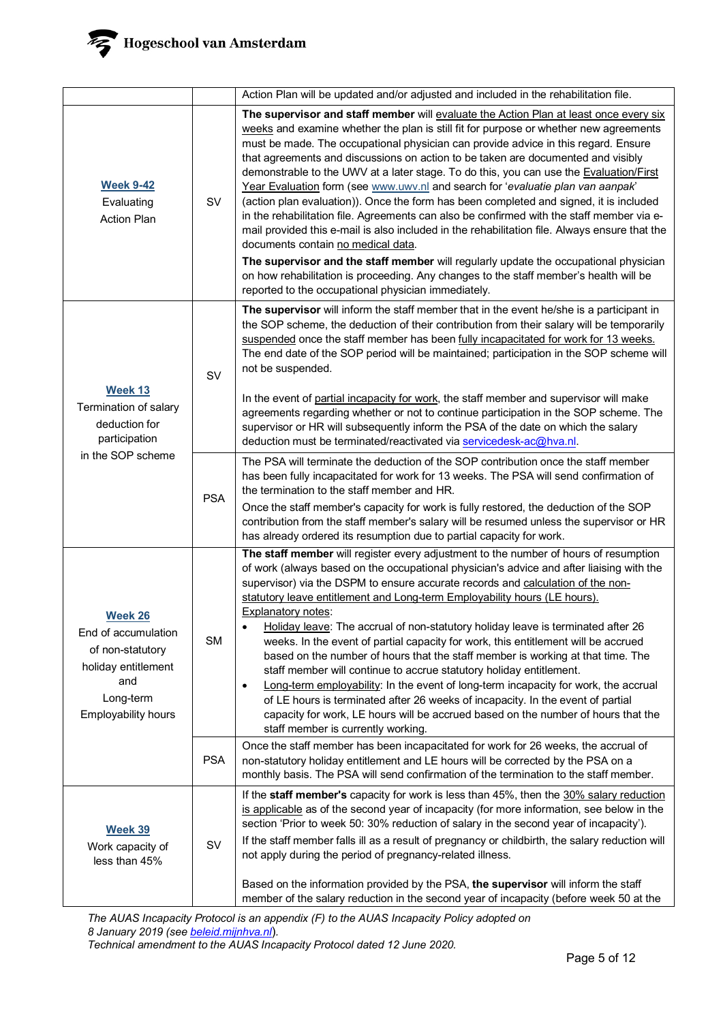

|                                                                                                                                    |            | Action Plan will be updated and/or adjusted and included in the rehabilitation file.                                                                                                                                                                                                                                                                                                                                                                                                                                                                                                                                                                                                                                                                                                                                                                                                                                                                                                                                                                                                                               |
|------------------------------------------------------------------------------------------------------------------------------------|------------|--------------------------------------------------------------------------------------------------------------------------------------------------------------------------------------------------------------------------------------------------------------------------------------------------------------------------------------------------------------------------------------------------------------------------------------------------------------------------------------------------------------------------------------------------------------------------------------------------------------------------------------------------------------------------------------------------------------------------------------------------------------------------------------------------------------------------------------------------------------------------------------------------------------------------------------------------------------------------------------------------------------------------------------------------------------------------------------------------------------------|
| <b>Week 9-42</b><br>Evaluating<br><b>Action Plan</b>                                                                               | SV         | The supervisor and staff member will evaluate the Action Plan at least once every six<br>weeks and examine whether the plan is still fit for purpose or whether new agreements<br>must be made. The occupational physician can provide advice in this regard. Ensure<br>that agreements and discussions on action to be taken are documented and visibly<br>demonstrable to the UWV at a later stage. To do this, you can use the Evaluation/First<br>Year Evaluation form (see www.uwv.nl and search for 'evaluatie plan van aanpak'<br>(action plan evaluation)). Once the form has been completed and signed, it is included<br>in the rehabilitation file. Agreements can also be confirmed with the staff member via e-<br>mail provided this e-mail is also included in the rehabilitation file. Always ensure that the<br>documents contain no medical data.<br>The supervisor and the staff member will regularly update the occupational physician<br>on how rehabilitation is proceeding. Any changes to the staff member's health will be<br>reported to the occupational physician immediately.        |
| Week 13<br>Termination of salary<br>deduction for<br>participation<br>in the SOP scheme                                            | SV         | The supervisor will inform the staff member that in the event he/she is a participant in<br>the SOP scheme, the deduction of their contribution from their salary will be temporarily<br>suspended once the staff member has been fully incapacitated for work for 13 weeks.<br>The end date of the SOP period will be maintained; participation in the SOP scheme will<br>not be suspended.<br>In the event of partial incapacity for work, the staff member and supervisor will make<br>agreements regarding whether or not to continue participation in the SOP scheme. The<br>supervisor or HR will subsequently inform the PSA of the date on which the salary<br>deduction must be terminated/reactivated via servicedesk-ac@hva.nl.                                                                                                                                                                                                                                                                                                                                                                         |
|                                                                                                                                    | <b>PSA</b> | The PSA will terminate the deduction of the SOP contribution once the staff member<br>has been fully incapacitated for work for 13 weeks. The PSA will send confirmation of<br>the termination to the staff member and HR.<br>Once the staff member's capacity for work is fully restored, the deduction of the SOP<br>contribution from the staff member's salary will be resumed unless the supervisor or HR<br>has already ordered its resumption due to partial capacity for work.                                                                                                                                                                                                                                                                                                                                                                                                                                                                                                                                                                                                                             |
| <b>Week 26</b><br>End of accumulation<br>of non-statutory<br>holiday entitlement<br>and<br>Long-term<br><b>Employability hours</b> | <b>SM</b>  | The staff member will register every adjustment to the number of hours of resumption<br>of work (always based on the occupational physician's advice and after liaising with the<br>supervisor) via the DSPM to ensure accurate records and calculation of the non-<br>statutory leave entitlement and Long-term Employability hours (LE hours).<br>Explanatory notes:<br>Holiday leave: The accrual of non-statutory holiday leave is terminated after 26<br>weeks. In the event of partial capacity for work, this entitlement will be accrued<br>based on the number of hours that the staff member is working at that time. The<br>staff member will continue to accrue statutory holiday entitlement.<br>Long-term employability: In the event of long-term incapacity for work, the accrual<br>$\bullet$<br>of LE hours is terminated after 26 weeks of incapacity. In the event of partial<br>capacity for work, LE hours will be accrued based on the number of hours that the<br>staff member is currently working.<br>Once the staff member has been incapacitated for work for 26 weeks, the accrual of |
|                                                                                                                                    | <b>PSA</b> | non-statutory holiday entitlement and LE hours will be corrected by the PSA on a<br>monthly basis. The PSA will send confirmation of the termination to the staff member.                                                                                                                                                                                                                                                                                                                                                                                                                                                                                                                                                                                                                                                                                                                                                                                                                                                                                                                                          |
| <u>Week 39</u><br>Work capacity of<br>less than 45%                                                                                | SV         | If the staff member's capacity for work is less than 45%, then the 30% salary reduction<br>is applicable as of the second year of incapacity (for more information, see below in the<br>section 'Prior to week 50: 30% reduction of salary in the second year of incapacity').<br>If the staff member falls ill as a result of pregnancy or childbirth, the salary reduction will<br>not apply during the period of pregnancy-related illness.<br>Based on the information provided by the PSA, the supervisor will inform the staff<br>member of the salary reduction in the second year of incapacity (before week 50 at the                                                                                                                                                                                                                                                                                                                                                                                                                                                                                     |

*The AUAS Incapacity Protocol is an appendix (F) to the AUAS Incapacity Policy adopted on 8 January 2019 (se[e beleid.mijnhva.nl](https://beleid.mijnhva.nl/)*)*.* 

*Technical amendment to the AUAS Incapacity Protocol dated 12 June 2020.*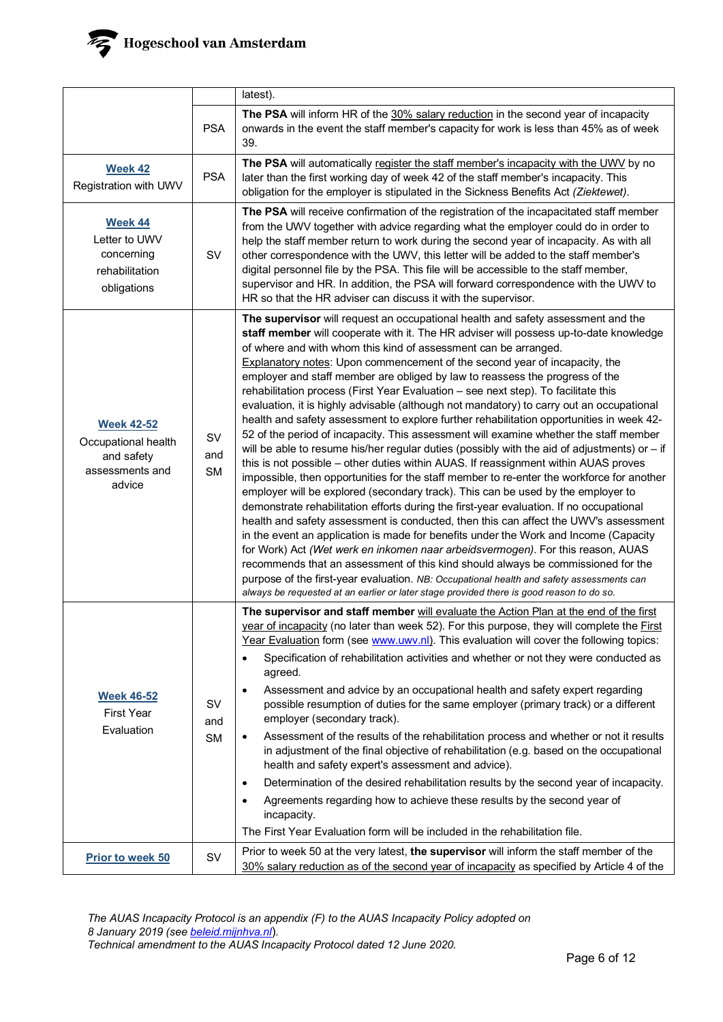|                                                                                     |                               | latest).                                                                                                                                                                                                                                                                                                                                                                                                                                                                                                                                                                                                                                                                                                                                                                                                                                                                                                                                                                                                                                                                                                                                                                                                                                                                                                                                                                                                                                                                                                                                                                                                                                                                                                                                                                                              |
|-------------------------------------------------------------------------------------|-------------------------------|-------------------------------------------------------------------------------------------------------------------------------------------------------------------------------------------------------------------------------------------------------------------------------------------------------------------------------------------------------------------------------------------------------------------------------------------------------------------------------------------------------------------------------------------------------------------------------------------------------------------------------------------------------------------------------------------------------------------------------------------------------------------------------------------------------------------------------------------------------------------------------------------------------------------------------------------------------------------------------------------------------------------------------------------------------------------------------------------------------------------------------------------------------------------------------------------------------------------------------------------------------------------------------------------------------------------------------------------------------------------------------------------------------------------------------------------------------------------------------------------------------------------------------------------------------------------------------------------------------------------------------------------------------------------------------------------------------------------------------------------------------------------------------------------------------|
|                                                                                     | <b>PSA</b>                    | The PSA will inform HR of the 30% salary reduction in the second year of incapacity<br>onwards in the event the staff member's capacity for work is less than 45% as of week<br>39.                                                                                                                                                                                                                                                                                                                                                                                                                                                                                                                                                                                                                                                                                                                                                                                                                                                                                                                                                                                                                                                                                                                                                                                                                                                                                                                                                                                                                                                                                                                                                                                                                   |
| <b>Week 42</b><br>Registration with UWV                                             | <b>PSA</b>                    | The PSA will automatically register the staff member's incapacity with the UWV by no<br>later than the first working day of week 42 of the staff member's incapacity. This<br>obligation for the employer is stipulated in the Sickness Benefits Act (Ziektewet).                                                                                                                                                                                                                                                                                                                                                                                                                                                                                                                                                                                                                                                                                                                                                                                                                                                                                                                                                                                                                                                                                                                                                                                                                                                                                                                                                                                                                                                                                                                                     |
| <b>Week 44</b><br>Letter to UWV<br>concerning<br>rehabilitation<br>obligations      | SV                            | The PSA will receive confirmation of the registration of the incapacitated staff member<br>from the UWV together with advice regarding what the employer could do in order to<br>help the staff member return to work during the second year of incapacity. As with all<br>other correspondence with the UWV, this letter will be added to the staff member's<br>digital personnel file by the PSA. This file will be accessible to the staff member,<br>supervisor and HR. In addition, the PSA will forward correspondence with the UWV to<br>HR so that the HR adviser can discuss it with the supervisor.                                                                                                                                                                                                                                                                                                                                                                                                                                                                                                                                                                                                                                                                                                                                                                                                                                                                                                                                                                                                                                                                                                                                                                                         |
| <b>Week 42-52</b><br>Occupational health<br>and safety<br>assessments and<br>advice | <b>SV</b><br>and<br><b>SM</b> | The supervisor will request an occupational health and safety assessment and the<br>staff member will cooperate with it. The HR adviser will possess up-to-date knowledge<br>of where and with whom this kind of assessment can be arranged.<br>Explanatory notes: Upon commencement of the second year of incapacity, the<br>employer and staff member are obliged by law to reassess the progress of the<br>rehabilitation process (First Year Evaluation - see next step). To facilitate this<br>evaluation, it is highly advisable (although not mandatory) to carry out an occupational<br>health and safety assessment to explore further rehabilitation opportunities in week 42-<br>52 of the period of incapacity. This assessment will examine whether the staff member<br>will be able to resume his/her regular duties (possibly with the aid of adjustments) or $-$ if<br>this is not possible - other duties within AUAS. If reassignment within AUAS proves<br>impossible, then opportunities for the staff member to re-enter the workforce for another<br>employer will be explored (secondary track). This can be used by the employer to<br>demonstrate rehabilitation efforts during the first-year evaluation. If no occupational<br>health and safety assessment is conducted, then this can affect the UWV's assessment<br>in the event an application is made for benefits under the Work and Income (Capacity<br>for Work) Act (Wet werk en inkomen naar arbeidsvermogen). For this reason, AUAS<br>recommends that an assessment of this kind should always be commissioned for the<br>purpose of the first-year evaluation. NB: Occupational health and safety assessments can<br>always be requested at an earlier or later stage provided there is good reason to do so. |
| <b>Week 46-52</b><br><b>First Year</b><br>Evaluation                                | <b>SV</b><br>and<br><b>SM</b> | The supervisor and staff member will evaluate the Action Plan at the end of the first<br>year of incapacity (no later than week 52). For this purpose, they will complete the First<br>Year Evaluation form (see www.uwv.nl). This evaluation will cover the following topics:<br>Specification of rehabilitation activities and whether or not they were conducted as<br>٠<br>agreed.<br>Assessment and advice by an occupational health and safety expert regarding<br>$\bullet$<br>possible resumption of duties for the same employer (primary track) or a different<br>employer (secondary track).<br>Assessment of the results of the rehabilitation process and whether or not it results<br>$\bullet$<br>in adjustment of the final objective of rehabilitation (e.g. based on the occupational<br>health and safety expert's assessment and advice).<br>Determination of the desired rehabilitation results by the second year of incapacity.<br>$\bullet$<br>Agreements regarding how to achieve these results by the second year of<br>$\bullet$<br>incapacity.<br>The First Year Evaluation form will be included in the rehabilitation file.                                                                                                                                                                                                                                                                                                                                                                                                                                                                                                                                                                                                                                             |
| Prior to week 50                                                                    | <b>SV</b>                     | Prior to week 50 at the very latest, the supervisor will inform the staff member of the<br>30% salary reduction as of the second year of incapacity as specified by Article 4 of the                                                                                                                                                                                                                                                                                                                                                                                                                                                                                                                                                                                                                                                                                                                                                                                                                                                                                                                                                                                                                                                                                                                                                                                                                                                                                                                                                                                                                                                                                                                                                                                                                  |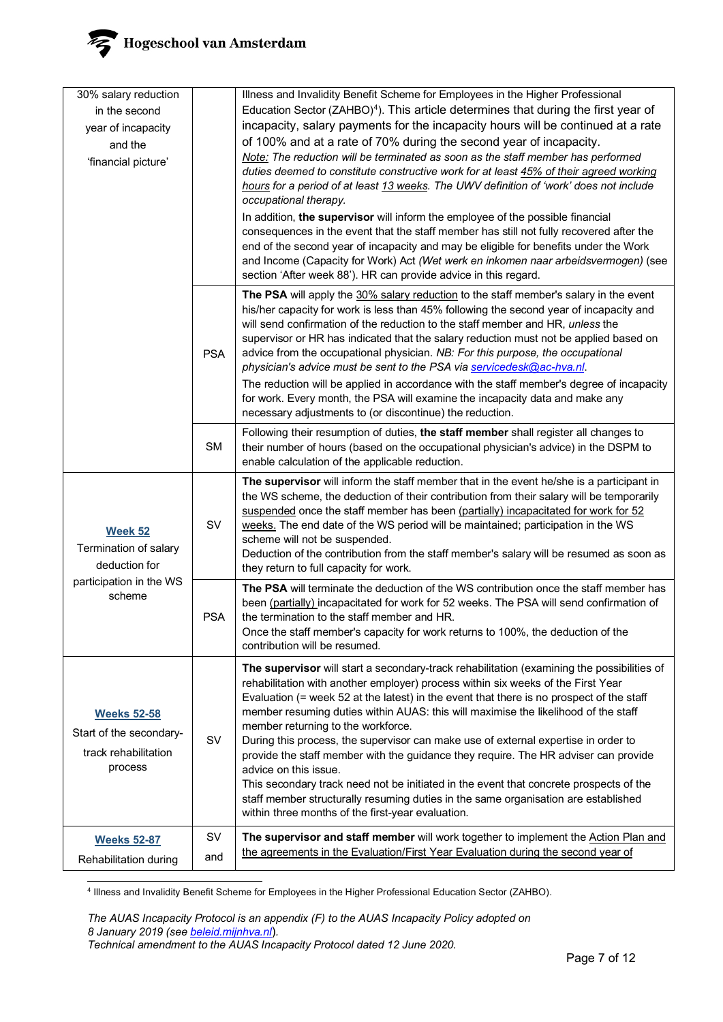

| 30% salary reduction              |            | Illness and Invalidity Benefit Scheme for Employees in the Higher Professional                                                                                                  |
|-----------------------------------|------------|---------------------------------------------------------------------------------------------------------------------------------------------------------------------------------|
| in the second                     |            | Education Sector (ZAHBO) <sup>4</sup> ). This article determines that during the first year of                                                                                  |
| year of incapacity                |            | incapacity, salary payments for the incapacity hours will be continued at a rate                                                                                                |
| and the                           |            | of 100% and at a rate of 70% during the second year of incapacity.                                                                                                              |
| 'financial picture'               |            | Note: The reduction will be terminated as soon as the staff member has performed                                                                                                |
|                                   |            | duties deemed to constitute constructive work for at least 45% of their agreed working                                                                                          |
|                                   |            | hours for a period of at least 13 weeks. The UWV definition of 'work' does not include                                                                                          |
|                                   |            | occupational therapy.                                                                                                                                                           |
|                                   |            | In addition, the supervisor will inform the employee of the possible financial                                                                                                  |
|                                   |            | consequences in the event that the staff member has still not fully recovered after the<br>end of the second year of incapacity and may be eligible for benefits under the Work |
|                                   |            | and Income (Capacity for Work) Act (Wet werk en inkomen naar arbeidsvermogen) (see                                                                                              |
|                                   |            | section 'After week 88'). HR can provide advice in this regard.                                                                                                                 |
|                                   |            | The PSA will apply the 30% salary reduction to the staff member's salary in the event                                                                                           |
|                                   |            | his/her capacity for work is less than 45% following the second year of incapacity and                                                                                          |
|                                   |            | will send confirmation of the reduction to the staff member and HR, unless the                                                                                                  |
|                                   |            | supervisor or HR has indicated that the salary reduction must not be applied based on<br>advice from the occupational physician. NB: For this purpose, the occupational         |
|                                   | <b>PSA</b> | physician's advice must be sent to the PSA via servicedesk@ac-hva.nl.                                                                                                           |
|                                   |            | The reduction will be applied in accordance with the staff member's degree of incapacity                                                                                        |
|                                   |            | for work. Every month, the PSA will examine the incapacity data and make any                                                                                                    |
|                                   |            | necessary adjustments to (or discontinue) the reduction.                                                                                                                        |
|                                   | <b>SM</b>  | Following their resumption of duties, the staff member shall register all changes to                                                                                            |
|                                   |            | their number of hours (based on the occupational physician's advice) in the DSPM to<br>enable calculation of the applicable reduction.                                          |
|                                   |            | The supervisor will inform the staff member that in the event he/she is a participant in                                                                                        |
|                                   |            | the WS scheme, the deduction of their contribution from their salary will be temporarily                                                                                        |
|                                   |            | suspended once the staff member has been (partially) incapacitated for work for 52                                                                                              |
| <b>Week 52</b>                    | SV         | weeks. The end date of the WS period will be maintained; participation in the WS                                                                                                |
| Termination of salary             |            | scheme will not be suspended.<br>Deduction of the contribution from the staff member's salary will be resumed as soon as                                                        |
| deduction for                     |            | they return to full capacity for work.                                                                                                                                          |
| participation in the WS<br>scheme |            | The PSA will terminate the deduction of the WS contribution once the staff member has                                                                                           |
|                                   |            | been (partially) incapacitated for work for 52 weeks. The PSA will send confirmation of                                                                                         |
|                                   | <b>PSA</b> | the termination to the staff member and HR.<br>Once the staff member's capacity for work returns to 100%, the deduction of the                                                  |
|                                   |            | contribution will be resumed.                                                                                                                                                   |
|                                   |            |                                                                                                                                                                                 |
|                                   |            | The supervisor will start a secondary-track rehabilitation (examining the possibilities of<br>rehabilitation with another employer) process within six weeks of the First Year  |
|                                   |            | Evaluation (= week 52 at the latest) in the event that there is no prospect of the staff                                                                                        |
| <b>Weeks 52-58</b>                |            | member resuming duties within AUAS: this will maximise the likelihood of the staff                                                                                              |
| Start of the secondary-           |            | member returning to the workforce.                                                                                                                                              |
| track rehabilitation              | SV         | During this process, the supervisor can make use of external expertise in order to<br>provide the staff member with the guidance they require. The HR adviser can provide       |
| process                           |            | advice on this issue.                                                                                                                                                           |
|                                   |            | This secondary track need not be initiated in the event that concrete prospects of the                                                                                          |
|                                   |            | staff member structurally resuming duties in the same organisation are established                                                                                              |
|                                   |            | within three months of the first-year evaluation.                                                                                                                               |
| <b>Weeks 52-87</b>                | <b>SV</b>  | The supervisor and staff member will work together to implement the Action Plan and                                                                                             |
| Rehabilitation during             | and        | the agreements in the Evaluation/First Year Evaluation during the second year of                                                                                                |
|                                   |            |                                                                                                                                                                                 |

<span id="page-6-0"></span><sup>4</sup> Illness and Invalidity Benefit Scheme for Employees in the Higher Professional Education Sector (ZAHBO).

*The AUAS Incapacity Protocol is an appendix (F) to the AUAS Incapacity Policy adopted on 8 January 2019 (se[e beleid.mijnhva.nl](https://beleid.mijnhva.nl/)*)*. Technical amendment to the AUAS Incapacity Protocol dated 12 June 2020.*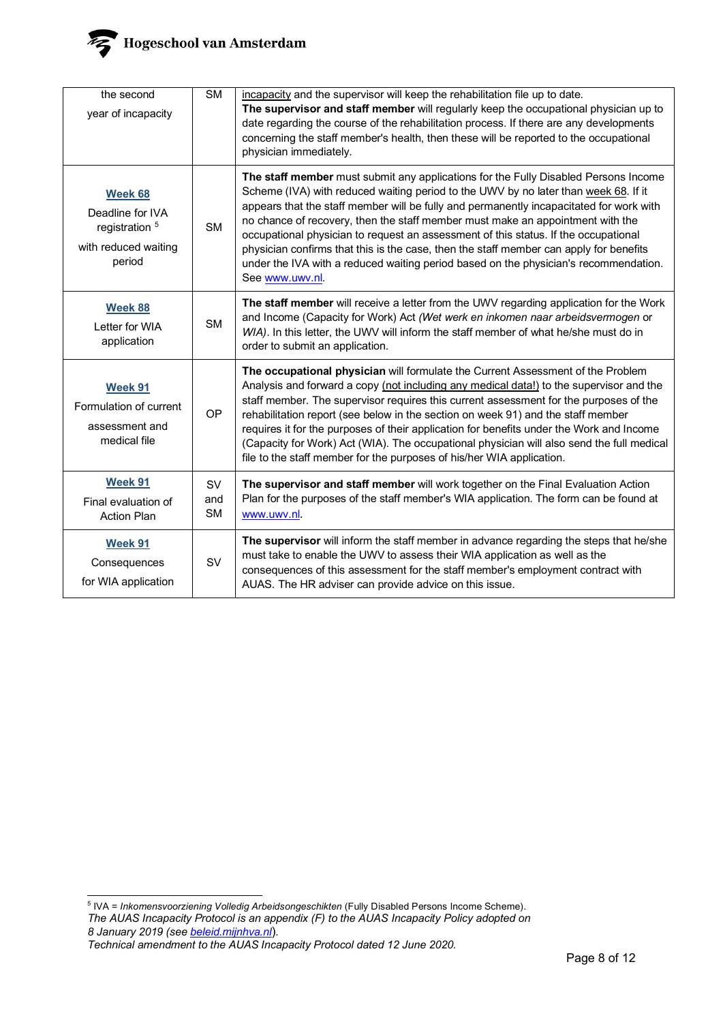

| the second<br>year of incapacity                                                           | $\overline{\text{SM}}$        | incapacity and the supervisor will keep the rehabilitation file up to date.<br>The supervisor and staff member will regularly keep the occupational physician up to<br>date regarding the course of the rehabilitation process. If there are any developments<br>concerning the staff member's health, then these will be reported to the occupational<br>physician immediately.                                                                                                                                                                                                                                                                    |
|--------------------------------------------------------------------------------------------|-------------------------------|-----------------------------------------------------------------------------------------------------------------------------------------------------------------------------------------------------------------------------------------------------------------------------------------------------------------------------------------------------------------------------------------------------------------------------------------------------------------------------------------------------------------------------------------------------------------------------------------------------------------------------------------------------|
| Week 68<br>Deadline for IVA<br>registration <sup>5</sup><br>with reduced waiting<br>period | <b>SM</b>                     | The staff member must submit any applications for the Fully Disabled Persons Income<br>Scheme (IVA) with reduced waiting period to the UWV by no later than week 68. If it<br>appears that the staff member will be fully and permanently incapacitated for work with<br>no chance of recovery, then the staff member must make an appointment with the<br>occupational physician to request an assessment of this status. If the occupational<br>physician confirms that this is the case, then the staff member can apply for benefits<br>under the IVA with a reduced waiting period based on the physician's recommendation.<br>See www.uwv.nl. |
| Week 88<br>Letter for WIA<br>application                                                   | <b>SM</b>                     | The staff member will receive a letter from the UWV regarding application for the Work<br>and Income (Capacity for Work) Act (Wet werk en inkomen naar arbeidsvermogen or<br>WIA). In this letter, the UWV will inform the staff member of what he/she must do in<br>order to submit an application.                                                                                                                                                                                                                                                                                                                                                |
| Week 91<br>Formulation of current<br>assessment and<br>medical file                        | OP                            | The occupational physician will formulate the Current Assessment of the Problem<br>Analysis and forward a copy (not including any medical data!) to the supervisor and the<br>staff member. The supervisor requires this current assessment for the purposes of the<br>rehabilitation report (see below in the section on week 91) and the staff member<br>requires it for the purposes of their application for benefits under the Work and Income<br>(Capacity for Work) Act (WIA). The occupational physician will also send the full medical<br>file to the staff member for the purposes of his/her WIA application.                           |
| Week 91<br>Final evaluation of<br><b>Action Plan</b>                                       | <b>SV</b><br>and<br><b>SM</b> | The supervisor and staff member will work together on the Final Evaluation Action<br>Plan for the purposes of the staff member's WIA application. The form can be found at<br>www.uwv.nl.                                                                                                                                                                                                                                                                                                                                                                                                                                                           |
| Week 91<br>Consequences<br>for WIA application                                             | <b>SV</b>                     | The supervisor will inform the staff member in advance regarding the steps that he/she<br>must take to enable the UWV to assess their WIA application as well as the<br>consequences of this assessment for the staff member's employment contract with<br>AUAS. The HR adviser can provide advice on this issue.                                                                                                                                                                                                                                                                                                                                   |

<span id="page-7-0"></span>*The AUAS Incapacity Protocol is an appendix (F) to the AUAS Incapacity Policy adopted on 8 January 2019 (se[e beleid.mijnhva.nl](https://beleid.mijnhva.nl/)*)*.*  <sup>5</sup> IVA = *Inkomensvoorziening Volledig Arbeidsongeschikten* (Fully Disabled Persons Income Scheme).

*Technical amendment to the AUAS Incapacity Protocol dated 12 June 2020.*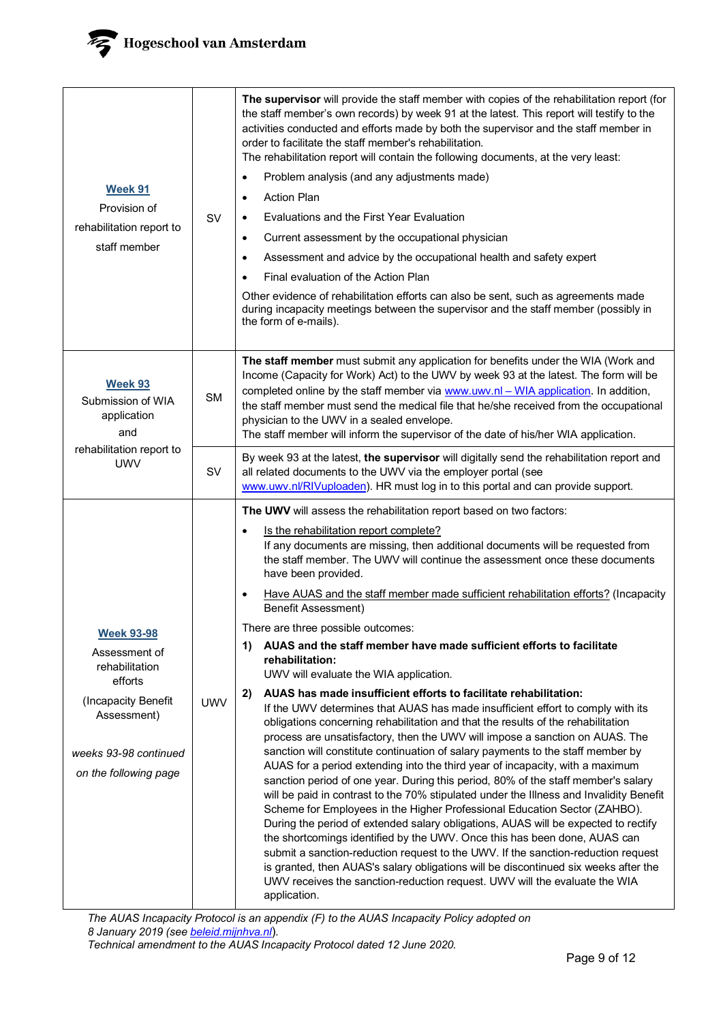

| Week 91<br>Provision of<br>rehabilitation report to<br>staff member                                                                                     | SV         | The supervisor will provide the staff member with copies of the rehabilitation report (for<br>the staff member's own records) by week 91 at the latest. This report will testify to the<br>activities conducted and efforts made by both the supervisor and the staff member in<br>order to facilitate the staff member's rehabilitation.<br>The rehabilitation report will contain the following documents, at the very least:<br>Problem analysis (and any adjustments made)<br>$\bullet$<br><b>Action Plan</b><br>$\bullet$<br>Evaluations and the First Year Evaluation<br>$\bullet$<br>Current assessment by the occupational physician<br>$\bullet$<br>Assessment and advice by the occupational health and safety expert<br>$\bullet$<br>Final evaluation of the Action Plan<br>$\bullet$<br>Other evidence of rehabilitation efforts can also be sent, such as agreements made<br>during incapacity meetings between the supervisor and the staff member (possibly in<br>the form of e-mails).                                                                                                                                                                                                                                                                                                                                                                                                                                                                                                                                                                                                                                                                                                                                                                                                                                      |
|---------------------------------------------------------------------------------------------------------------------------------------------------------|------------|---------------------------------------------------------------------------------------------------------------------------------------------------------------------------------------------------------------------------------------------------------------------------------------------------------------------------------------------------------------------------------------------------------------------------------------------------------------------------------------------------------------------------------------------------------------------------------------------------------------------------------------------------------------------------------------------------------------------------------------------------------------------------------------------------------------------------------------------------------------------------------------------------------------------------------------------------------------------------------------------------------------------------------------------------------------------------------------------------------------------------------------------------------------------------------------------------------------------------------------------------------------------------------------------------------------------------------------------------------------------------------------------------------------------------------------------------------------------------------------------------------------------------------------------------------------------------------------------------------------------------------------------------------------------------------------------------------------------------------------------------------------------------------------------------------------------------------------------|
| Week 93<br>Submission of WIA<br>application<br>and                                                                                                      | <b>SM</b>  | The staff member must submit any application for benefits under the WIA (Work and<br>Income (Capacity for Work) Act) to the UWV by week 93 at the latest. The form will be<br>completed online by the staff member via www.uwv.nl - WIA application. In addition,<br>the staff member must send the medical file that he/she received from the occupational<br>physician to the UWV in a sealed envelope.<br>The staff member will inform the supervisor of the date of his/her WIA application.                                                                                                                                                                                                                                                                                                                                                                                                                                                                                                                                                                                                                                                                                                                                                                                                                                                                                                                                                                                                                                                                                                                                                                                                                                                                                                                                            |
| rehabilitation report to<br><b>UWV</b>                                                                                                                  | SV         | By week 93 at the latest, the supervisor will digitally send the rehabilitation report and<br>all related documents to the UWV via the employer portal (see<br>www.uwv.nl/RIVuploaden). HR must log in to this portal and can provide support.                                                                                                                                                                                                                                                                                                                                                                                                                                                                                                                                                                                                                                                                                                                                                                                                                                                                                                                                                                                                                                                                                                                                                                                                                                                                                                                                                                                                                                                                                                                                                                                              |
| <b>Week 93-98</b><br>Assessment of<br>rehabilitation<br>efforts<br>(Incapacity Benefit<br>Assessment)<br>weeks 93-98 continued<br>on the following page | <b>UWV</b> | The UWV will assess the rehabilitation report based on two factors:<br>Is the rehabilitation report complete?<br>٠<br>If any documents are missing, then additional documents will be requested from<br>the staff member. The UWV will continue the assessment once these documents<br>have been provided.<br>Have AUAS and the staff member made sufficient rehabilitation efforts? (Incapacity<br>$\bullet$<br><b>Benefit Assessment)</b><br>There are three possible outcomes:<br>AUAS and the staff member have made sufficient efforts to facilitate<br>1)<br>rehabilitation:<br>UWV will evaluate the WIA application.<br>AUAS has made insufficient efforts to facilitate rehabilitation:<br>2)<br>If the UWV determines that AUAS has made insufficient effort to comply with its<br>obligations concerning rehabilitation and that the results of the rehabilitation<br>process are unsatisfactory, then the UWV will impose a sanction on AUAS. The<br>sanction will constitute continuation of salary payments to the staff member by<br>AUAS for a period extending into the third year of incapacity, with a maximum<br>sanction period of one year. During this period, 80% of the staff member's salary<br>will be paid in contrast to the 70% stipulated under the Illness and Invalidity Benefit<br>Scheme for Employees in the Higher Professional Education Sector (ZAHBO).<br>During the period of extended salary obligations, AUAS will be expected to rectify<br>the shortcomings identified by the UWV. Once this has been done, AUAS can<br>submit a sanction-reduction request to the UWV. If the sanction-reduction request<br>is granted, then AUAS's salary obligations will be discontinued six weeks after the<br>UWV receives the sanction-reduction request. UWV will the evaluate the WIA<br>application. |

*The AUAS Incapacity Protocol is an appendix (F) to the AUAS Incapacity Policy adopted on 8 January 2019 (se[e beleid.mijnhva.nl](https://beleid.mijnhva.nl/)*)*. Technical amendment to the AUAS Incapacity Protocol dated 12 June 2020.*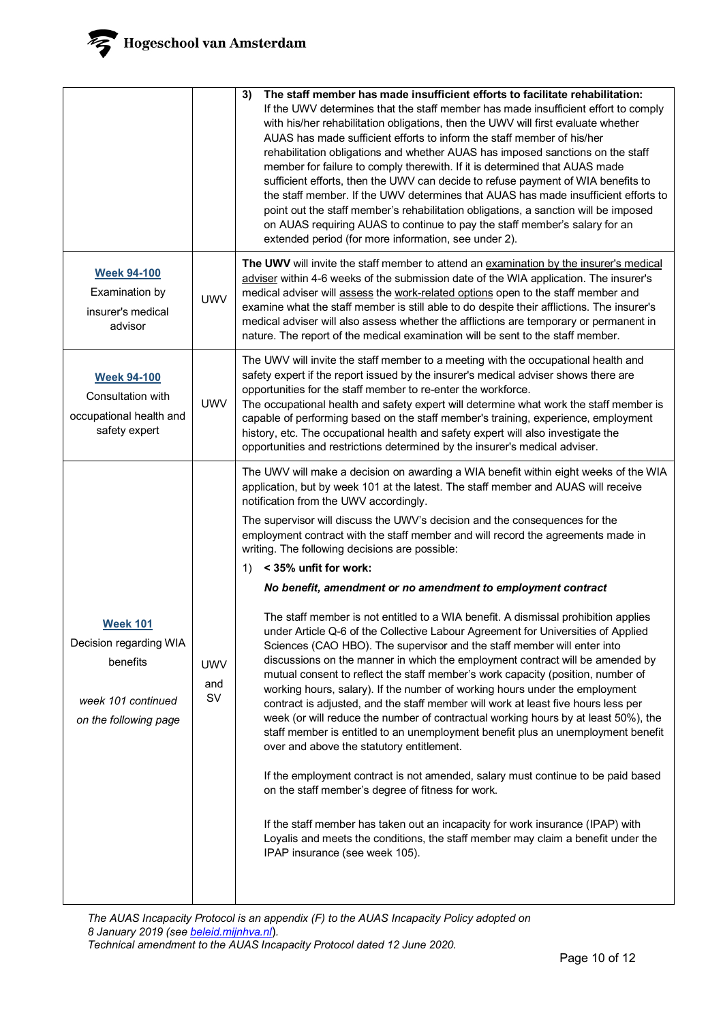|                                                                                                      |                         | The staff member has made insufficient efforts to facilitate rehabilitation:<br>3)<br>If the UWV determines that the staff member has made insufficient effort to comply<br>with his/her rehabilitation obligations, then the UWV will first evaluate whether<br>AUAS has made sufficient efforts to inform the staff member of his/her<br>rehabilitation obligations and whether AUAS has imposed sanctions on the staff<br>member for failure to comply therewith. If it is determined that AUAS made<br>sufficient efforts, then the UWV can decide to refuse payment of WIA benefits to<br>the staff member. If the UWV determines that AUAS has made insufficient efforts to<br>point out the staff member's rehabilitation obligations, a sanction will be imposed<br>on AUAS requiring AUAS to continue to pay the staff member's salary for an<br>extended period (for more information, see under 2).                                                                                                                                                                                                                                                                                                                                                                                                                                                                                                                                                                                                                                                                                                                                                                                               |
|------------------------------------------------------------------------------------------------------|-------------------------|--------------------------------------------------------------------------------------------------------------------------------------------------------------------------------------------------------------------------------------------------------------------------------------------------------------------------------------------------------------------------------------------------------------------------------------------------------------------------------------------------------------------------------------------------------------------------------------------------------------------------------------------------------------------------------------------------------------------------------------------------------------------------------------------------------------------------------------------------------------------------------------------------------------------------------------------------------------------------------------------------------------------------------------------------------------------------------------------------------------------------------------------------------------------------------------------------------------------------------------------------------------------------------------------------------------------------------------------------------------------------------------------------------------------------------------------------------------------------------------------------------------------------------------------------------------------------------------------------------------------------------------------------------------------------------------------------------------|
| <b>Week 94-100</b><br>Examination by<br>insurer's medical<br>advisor                                 | <b>UWV</b>              | The UWV will invite the staff member to attend an examination by the insurer's medical<br>adviser within 4-6 weeks of the submission date of the WIA application. The insurer's<br>medical adviser will assess the work-related options open to the staff member and<br>examine what the staff member is still able to do despite their afflictions. The insurer's<br>medical adviser will also assess whether the afflictions are temporary or permanent in<br>nature. The report of the medical examination will be sent to the staff member.                                                                                                                                                                                                                                                                                                                                                                                                                                                                                                                                                                                                                                                                                                                                                                                                                                                                                                                                                                                                                                                                                                                                                              |
| <b>Week 94-100</b><br>Consultation with<br>occupational health and<br>safety expert                  | <b>UWV</b>              | The UWV will invite the staff member to a meeting with the occupational health and<br>safety expert if the report issued by the insurer's medical adviser shows there are<br>opportunities for the staff member to re-enter the workforce.<br>The occupational health and safety expert will determine what work the staff member is<br>capable of performing based on the staff member's training, experience, employment<br>history, etc. The occupational health and safety expert will also investigate the<br>opportunities and restrictions determined by the insurer's medical adviser.                                                                                                                                                                                                                                                                                                                                                                                                                                                                                                                                                                                                                                                                                                                                                                                                                                                                                                                                                                                                                                                                                                               |
| <b>Week 101</b><br>Decision regarding WIA<br>benefits<br>week 101 continued<br>on the following page | <b>UWV</b><br>and<br>SV | The UWV will make a decision on awarding a WIA benefit within eight weeks of the WIA<br>application, but by week 101 at the latest. The staff member and AUAS will receive<br>notification from the UWV accordingly.<br>The supervisor will discuss the UWV's decision and the consequences for the<br>employment contract with the staff member and will record the agreements made in<br>writing. The following decisions are possible:<br>$1)$ < 35% unfit for work:<br>No benefit, amendment or no amendment to employment contract<br>The staff member is not entitled to a WIA benefit. A dismissal prohibition applies<br>under Article Q-6 of the Collective Labour Agreement for Universities of Applied<br>Sciences (CAO HBO). The supervisor and the staff member will enter into<br>discussions on the manner in which the employment contract will be amended by<br>mutual consent to reflect the staff member's work capacity (position, number of<br>working hours, salary). If the number of working hours under the employment<br>contract is adjusted, and the staff member will work at least five hours less per<br>week (or will reduce the number of contractual working hours by at least 50%), the<br>staff member is entitled to an unemployment benefit plus an unemployment benefit<br>over and above the statutory entitlement.<br>If the employment contract is not amended, salary must continue to be paid based<br>on the staff member's degree of fitness for work.<br>If the staff member has taken out an incapacity for work insurance (IPAP) with<br>Loyalis and meets the conditions, the staff member may claim a benefit under the<br>IPAP insurance (see week 105). |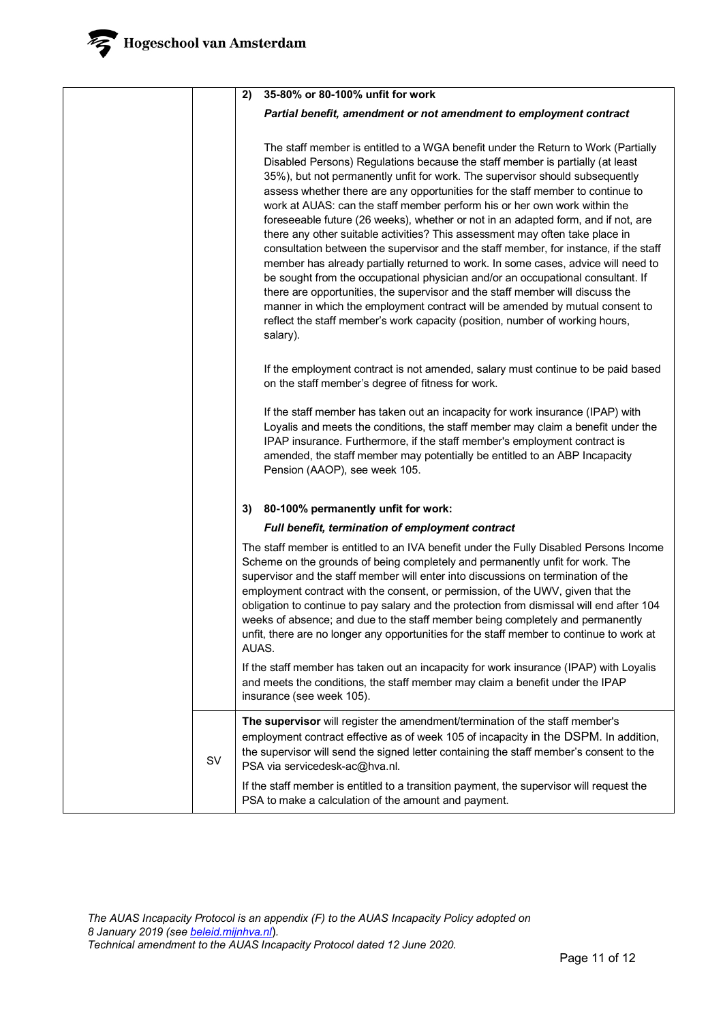|    | 35-80% or 80-100% unfit for work<br>2)                                                                                                                                                                                                                                                                                                                                                                                                                                                                                                                                                                                                                                                                                                                                                                                                                                                                                                                                                                                                                                                                              |
|----|---------------------------------------------------------------------------------------------------------------------------------------------------------------------------------------------------------------------------------------------------------------------------------------------------------------------------------------------------------------------------------------------------------------------------------------------------------------------------------------------------------------------------------------------------------------------------------------------------------------------------------------------------------------------------------------------------------------------------------------------------------------------------------------------------------------------------------------------------------------------------------------------------------------------------------------------------------------------------------------------------------------------------------------------------------------------------------------------------------------------|
|    | Partial benefit, amendment or not amendment to employment contract                                                                                                                                                                                                                                                                                                                                                                                                                                                                                                                                                                                                                                                                                                                                                                                                                                                                                                                                                                                                                                                  |
|    | The staff member is entitled to a WGA benefit under the Return to Work (Partially<br>Disabled Persons) Regulations because the staff member is partially (at least<br>35%), but not permanently unfit for work. The supervisor should subsequently<br>assess whether there are any opportunities for the staff member to continue to<br>work at AUAS: can the staff member perform his or her own work within the<br>foreseeable future (26 weeks), whether or not in an adapted form, and if not, are<br>there any other suitable activities? This assessment may often take place in<br>consultation between the supervisor and the staff member, for instance, if the staff<br>member has already partially returned to work. In some cases, advice will need to<br>be sought from the occupational physician and/or an occupational consultant. If<br>there are opportunities, the supervisor and the staff member will discuss the<br>manner in which the employment contract will be amended by mutual consent to<br>reflect the staff member's work capacity (position, number of working hours,<br>salary). |
|    | If the employment contract is not amended, salary must continue to be paid based<br>on the staff member's degree of fitness for work.                                                                                                                                                                                                                                                                                                                                                                                                                                                                                                                                                                                                                                                                                                                                                                                                                                                                                                                                                                               |
|    | If the staff member has taken out an incapacity for work insurance (IPAP) with<br>Loyalis and meets the conditions, the staff member may claim a benefit under the<br>IPAP insurance. Furthermore, if the staff member's employment contract is<br>amended, the staff member may potentially be entitled to an ABP Incapacity<br>Pension (AAOP), see week 105.                                                                                                                                                                                                                                                                                                                                                                                                                                                                                                                                                                                                                                                                                                                                                      |
|    | 80-100% permanently unfit for work:<br>3)                                                                                                                                                                                                                                                                                                                                                                                                                                                                                                                                                                                                                                                                                                                                                                                                                                                                                                                                                                                                                                                                           |
|    | Full benefit, termination of employment contract                                                                                                                                                                                                                                                                                                                                                                                                                                                                                                                                                                                                                                                                                                                                                                                                                                                                                                                                                                                                                                                                    |
|    | The staff member is entitled to an IVA benefit under the Fully Disabled Persons Income<br>Scheme on the grounds of being completely and permanently unfit for work. The<br>supervisor and the staff member will enter into discussions on termination of the<br>employment contract with the consent, or permission, of the UWV, given that the<br>obligation to continue to pay salary and the protection from dismissal will end after 104<br>weeks of absence; and due to the staff member being completely and permanently<br>unfit, there are no longer any opportunities for the staff member to continue to work at<br>AUAS.                                                                                                                                                                                                                                                                                                                                                                                                                                                                                 |
|    | If the staff member has taken out an incapacity for work insurance (IPAP) with Loyalis<br>and meets the conditions, the staff member may claim a benefit under the IPAP<br>insurance (see week 105).                                                                                                                                                                                                                                                                                                                                                                                                                                                                                                                                                                                                                                                                                                                                                                                                                                                                                                                |
| SV | The supervisor will register the amendment/termination of the staff member's<br>employment contract effective as of week 105 of incapacity in the DSPM. In addition,<br>the supervisor will send the signed letter containing the staff member's consent to the<br>PSA via servicedesk-ac@hva.nl.                                                                                                                                                                                                                                                                                                                                                                                                                                                                                                                                                                                                                                                                                                                                                                                                                   |
|    | If the staff member is entitled to a transition payment, the supervisor will request the<br>PSA to make a calculation of the amount and payment.                                                                                                                                                                                                                                                                                                                                                                                                                                                                                                                                                                                                                                                                                                                                                                                                                                                                                                                                                                    |